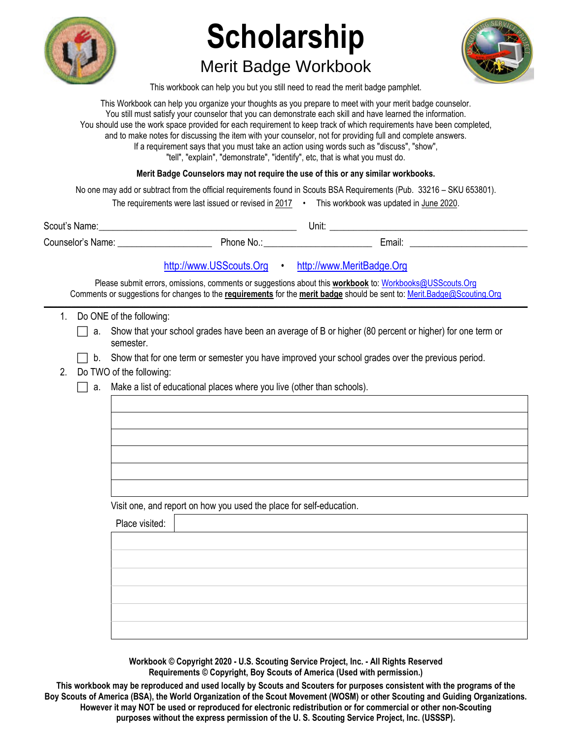

## **Scholarship**

## Merit Badge Workbook



This workbook can help you but you still need to read the merit badge pamphlet.

This Workbook can help you organize your thoughts as you prepare to meet with your merit badge counselor. You still must satisfy your counselor that you can demonstrate each skill and have learned the information. You should use the work space provided for each requirement to keep track of which requirements have been completed, and to make notes for discussing the item with your counselor, not for providing full and complete answers. If a requirement says that you must take an action using words such as "discuss", "show", "tell", "explain", "demonstrate", "identify", etc, that is what you must do.

**Merit Badge Counselors may not require the use of this or any similar workbooks.**

No one may add or subtract from the official requirements found in Scouts BSA Requirements (Pub. 33216 – SKU 653801).

| The requirements were last issued or revised in 2017 | This workbook was updated in June 2020. |
|------------------------------------------------------|-----------------------------------------|
|                                                      |                                         |

| Scout's<br>Name:               | Unit.    |  |        |  |
|--------------------------------|----------|--|--------|--|
| $\sim$<br>Counselor's<br>Name: | Phone No |  | ∟mail: |  |

http://www.USScouts.Org • http://www.MeritBadge.Org

Please submit errors, omissions, comments or suggestions about this **workbook** to: Workbooks@USScouts.Org Comments or suggestions for changes to the **requirements** for the **merit badge** should be sent to: Merit.Badge@Scouting.Org *\_\_\_\_\_\_\_\_\_\_\_\_\_\_\_\_\_\_\_\_\_\_\_\_\_\_\_\_\_\_\_\_\_\_\_\_\_\_\_\_\_\_\_\_\_\_\_\_\_\_\_\_\_\_\_\_\_\_\_\_\_\_\_\_\_\_\_\_\_\_\_\_\_\_\_\_\_\_\_\_\_\_\_\_\_\_\_\_\_\_\_\_\_\_\_\_\_\_\_\_\_\_\_\_\_\_\_\_\_\_\_\_\_\_\_\_\_\_\_\_\_\_\_\_\_\_\_\_\_\_\_\_\_\_\_\_\_\_\_\_\_\_* 

- 1. Do ONE of the following:
	- a. Show that your school grades have been an average of B or higher  $(80$  percent or higher) for one term or semester.
		- b. Show that for one term or semester you have improved your school grades over the previous period.
- 2. Do TWO of the following:
	- $\Box$  a. Make a list of educational places where you live (other than schools).

Visit one, and report on how you used the place for self-education.

Place visited:

**Workbook © Copyright 2020 - U.S. Scouting Service Project, Inc. - All Rights Reserved Requirements © Copyright, Boy Scouts of America (Used with permission.)** 

**This workbook may be reproduced and used locally by Scouts and Scouters for purposes consistent with the programs of the Boy Scouts of America (BSA), the World Organization of the Scout Movement (WOSM) or other Scouting and Guiding Organizations. However it may NOT be used or reproduced for electronic redistribution or for commercial or other non-Scouting purposes without the express permission of the U. S. Scouting Service Project, Inc. (USSSP).**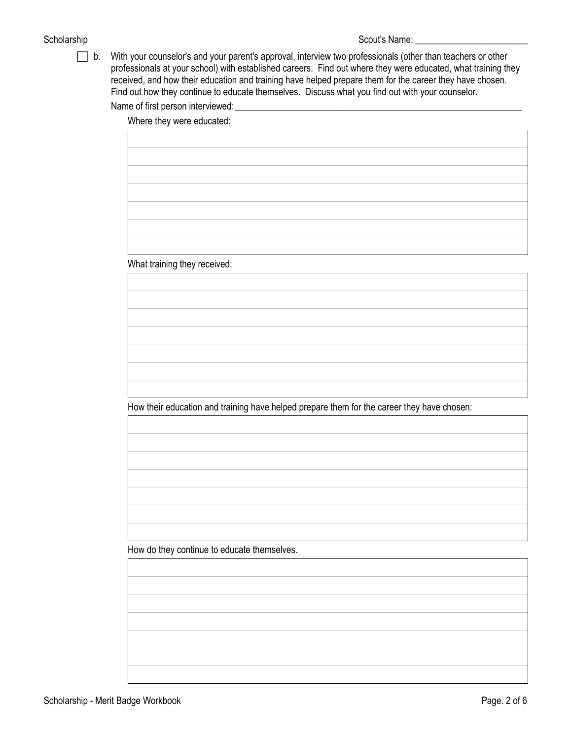## Scholarship Scout's Name: \_\_\_\_\_\_\_\_\_\_\_\_\_\_\_\_\_\_\_\_\_\_\_\_

 b. With your counselor's and your parent's approval, interview two professionals (other than teachers or other professionals at your school) with established careers. Find out where they were educated, what training they received, and how their education and training have helped prepare them for the career they have chosen. Find out how they continue to educate themselves. Discuss what you find out with your counselor.

Name of first person interviewed:

Where they were educated:

What training they received:

How their education and training have helped prepare them for the career they have chosen:

How do they continue to educate themselves.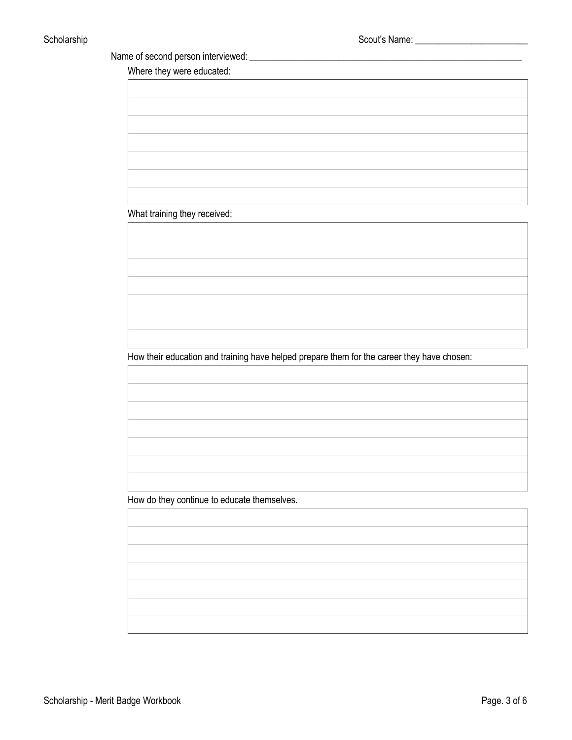Name of second person interviewed:

Where they were educated:

What training they received:

How their education and training have helped prepare them for the career they have chosen:

How do they continue to educate themselves.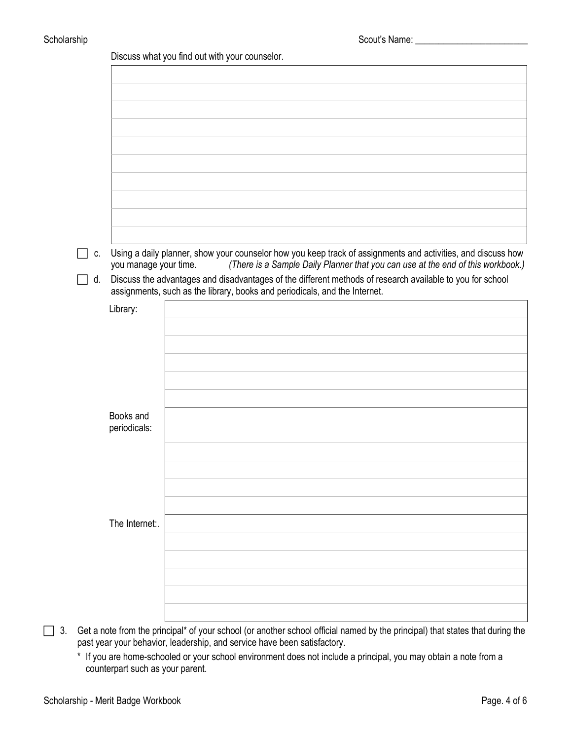|    |                       | Discuss what you find out with your counselor.                                                                                                                                                  |
|----|-----------------------|-------------------------------------------------------------------------------------------------------------------------------------------------------------------------------------------------|
|    |                       |                                                                                                                                                                                                 |
|    |                       |                                                                                                                                                                                                 |
|    |                       |                                                                                                                                                                                                 |
|    |                       |                                                                                                                                                                                                 |
|    |                       |                                                                                                                                                                                                 |
|    |                       |                                                                                                                                                                                                 |
|    |                       |                                                                                                                                                                                                 |
|    |                       |                                                                                                                                                                                                 |
|    |                       |                                                                                                                                                                                                 |
|    |                       |                                                                                                                                                                                                 |
|    |                       |                                                                                                                                                                                                 |
| C. | you manage your time. | Using a daily planner, show your counselor how you keep track of assignments and activities, and discuss how<br>(There is a Sample Daily Planner that you can use at the end of this workbook.) |
| d. |                       | Discuss the advantages and disadvantages of the different methods of research available to you for school                                                                                       |
|    |                       | assignments, such as the library, books and periodicals, and the Internet.                                                                                                                      |
|    | Library:              |                                                                                                                                                                                                 |
|    |                       |                                                                                                                                                                                                 |
|    |                       |                                                                                                                                                                                                 |
|    |                       |                                                                                                                                                                                                 |
|    |                       |                                                                                                                                                                                                 |
|    |                       |                                                                                                                                                                                                 |
|    |                       |                                                                                                                                                                                                 |
|    | Books and             |                                                                                                                                                                                                 |
|    | periodicals:          |                                                                                                                                                                                                 |
|    |                       |                                                                                                                                                                                                 |
|    |                       |                                                                                                                                                                                                 |
|    |                       |                                                                                                                                                                                                 |
|    |                       |                                                                                                                                                                                                 |
|    |                       |                                                                                                                                                                                                 |
|    | The Internet:.        |                                                                                                                                                                                                 |
|    |                       |                                                                                                                                                                                                 |
|    |                       |                                                                                                                                                                                                 |
|    |                       |                                                                                                                                                                                                 |
|    |                       |                                                                                                                                                                                                 |
|    |                       |                                                                                                                                                                                                 |
|    |                       |                                                                                                                                                                                                 |

 3. Get a note from the principal\* of your school (or another school official named by the principal) that states that during the past year your behavior, leadership, and service have been satisfactory.

\* If you are home-schooled or your school environment does not include a principal, you may obtain a note from a counterpart such as your parent.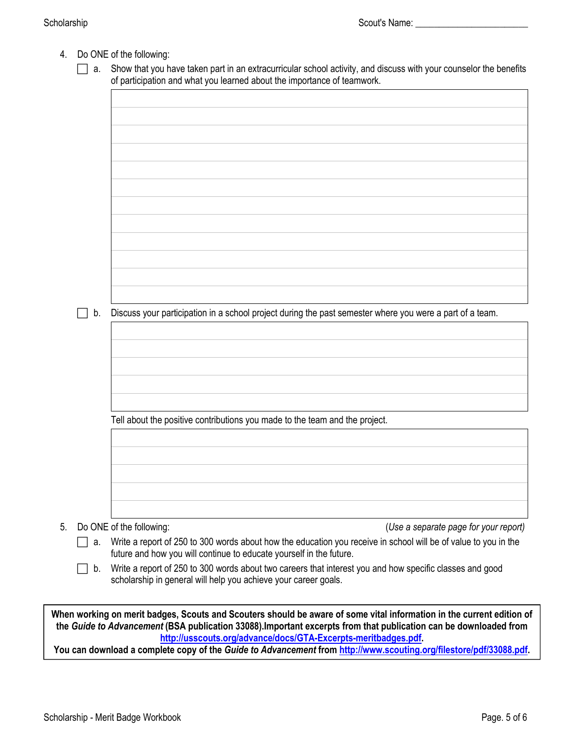- 4. Do ONE of the following:
	- $\Box$  a. Show that you have taken part in an extracurricular school activity, and discuss with your counselor the benefits of participation and what you learned about the importance of teamwork.

 $\Box$  b. Discuss your participation in a school project during the past semester where you were a part of a team. Tell about the positive contributions you made to the team and the project. 5. Do ONE of the following: (*Use a separate page for your report)*

 $\Box$  a. Write a report of 250 to 300 words about how the education you receive in school will be of value to you in the future and how you will continue to educate yourself in the future.

 $\Box$  b. Write a report of 250 to 300 words about two careers that interest you and how specific classes and good scholarship in general will help you achieve your career goals.

**When working on merit badges, Scouts and Scouters should be aware of some vital information in the current edition of the** *Guide to Advancement* **(BSA publication 33088).Important excerpts from that publication can be downloaded from <http://usscouts.org/advance/docs/GTA-Excerpts-meritbadges.pdf>.** 

**You can download a complete copy of the** *Guide to Advancement* **from [http://www.scouting.org/filestore/pdf/33088.pdf.](http://www.scouting.org/filestore/pdf/33088.pdf)**